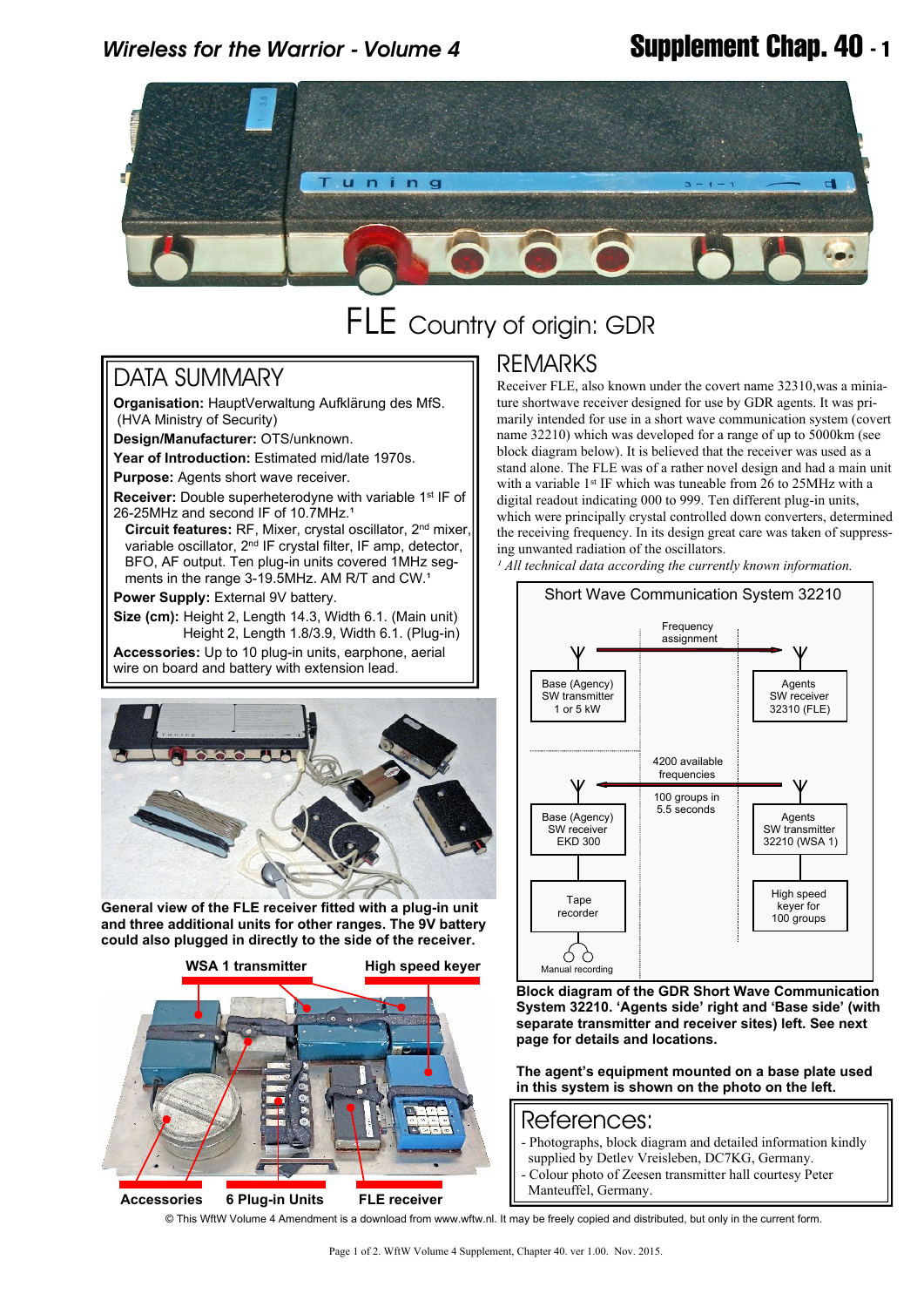## *Wireless for the Warrior - Volume 4* **Supplement Chap. 40 - 1**



# FLE Country of origin: GDR

#### DATA SUMMARY

**Organisation:** HauptVerwaltung Aufklärung des MfS. (HVA Ministry of Security)

**Design/Manufacturer:** OTS/unknown.

**Year of Introduction:** Estimated mid/late 1970s.

**Purpose:** Agents short wave receiver.

**Receiver:** Double superheterodyne with variable 1<sup>st</sup> IF of 26-25MHz and second IF of 10.7MHz.<sup>1</sup>

 **Circuit features:** RF, Mixer, crystal oscillator, 2nd mixer, variable oscillator, 2nd IF crystal filter, IF amp, detector, BFO, AF output. Ten plug-in units covered 1MHz seg ments in the range 3-19.5MHz. AM R/T and CW.<sup>1</sup>

**Power Supply:** External 9V battery.

**Size (cm):** Height 2, Length 14.3, Width 6.1. (Main unit) Height 2, Length 1.8/3.9, Width 6.1. (Plug-in)

**Accessories:** Up to 10 plug-in units, earphone, aerial wire on board and battery with extension lead.



**General view of the FLE receiver fitted with a plug-in unit and three additional units for other ranges. The 9V battery could also plugged in directly to the side of the receiver.**



### REMARKS

Receiver FLE, also known under the covert name 32310,was a miniature shortwave receiver designed for use by GDR agents. It was primarily intended for use in a short wave communication system (covert name 32210) which was developed for a range of up to 5000km (see block diagram below). It is believed that the receiver was used as a stand alone. The FLE was of a rather novel design and had a main unit with a variable 1<sup>st</sup> IF which was tuneable from  $26$  to 25MHz with a digital readout indicating 000 to 999. Ten different plug-in units, which were principally crystal controlled down converters, determined the receiving frequency. In its design great care was taken of suppressing unwanted radiation of the oscillators.

<sup>1</sup> All technical data according the currently known information.



**Block diagram of the GDR Short Wave Communication System 32210. 'Agents side' right and 'Base side' (with separate transmitter and receiver sites) left. See next page for details and locations.**

**The agent's equipment mounted on a base plate used in this system is shown on the photo on the left.**

#### References:

- Photographs, block diagram and detailed information kindly
- supplied by Detlev Vreisleben, DC7KG, Germany. - Colour photo of Zeesen transmitter hall courtesy Peter
- Manteuffel, Germany.

© This WftW Volume 4 Amendment is a download from www.wftw.nl. It may be freely copied and distributed, but only in the current form.